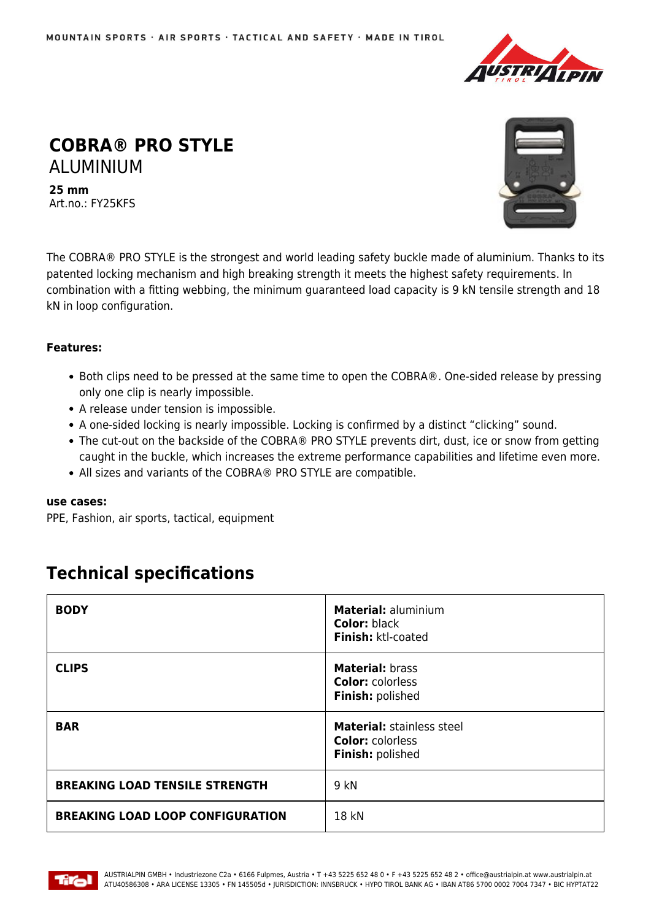

## **COBRA® PRO STYLE** ALUMINIUM

**25 mm** Art.no.: FY25KFS



The COBRA® PRO STYLE is the strongest and world leading safety buckle made of aluminium. Thanks to its patented locking mechanism and high breaking strength it meets the highest safety requirements. In combination with a fitting webbing, the minimum guaranteed load capacity is 9 kN tensile strength and 18 kN in loop configuration.

## **Features:**

- Both clips need to be pressed at the same time to open the COBRA®. One-sided release by pressing only one clip is nearly impossible.
- A release under tension is impossible.
- A one-sided locking is nearly impossible. Locking is confirmed by a distinct "clicking" sound.
- The cut-out on the backside of the COBRA® PRO STYLE prevents dirt, dust, ice or snow from getting caught in the buckle, which increases the extreme performance capabilities and lifetime even more.
- All sizes and variants of the COBRA® PRO STYLE are compatible.

## **use cases:**

PPE, Fashion, air sports, tactical, equipment

## **Technical specifications**

| <b>BODY</b>                             | <b>Material: aluminium</b><br><b>Color: black</b><br>Finish: ktl-coated         |
|-----------------------------------------|---------------------------------------------------------------------------------|
| <b>CLIPS</b>                            | <b>Material: brass</b><br><b>Color: colorless</b><br>Finish: polished           |
| <b>BAR</b>                              | <b>Material: stainless steel</b><br><b>Color: colorless</b><br>Finish: polished |
| <b>BREAKING LOAD TENSILE STRENGTH</b>   | 9 kN                                                                            |
| <b>BREAKING LOAD LOOP CONFIGURATION</b> | 18 kN                                                                           |

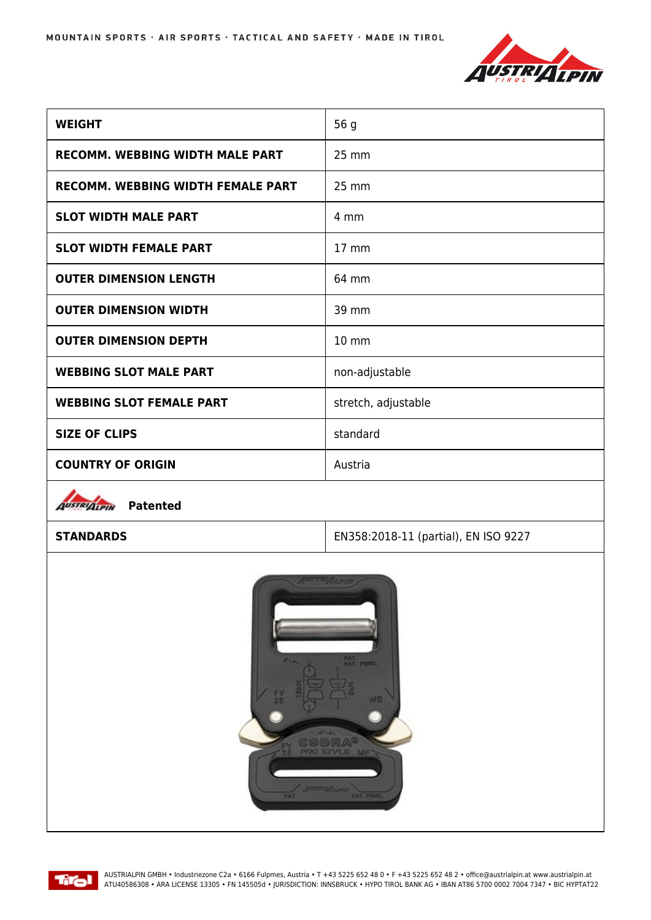

| <b>WEIGHT</b>                          | 56 g                |
|----------------------------------------|---------------------|
| <b>RECOMM. WEBBING WIDTH MALE PART</b> | 25 mm               |
| RECOMM. WEBBING WIDTH FEMALE PART      | 25 mm               |
| <b>SLOT WIDTH MALE PART</b>            | 4 mm                |
| <b>SLOT WIDTH FEMALE PART</b>          | $17 \text{ mm}$     |
| <b>OUTER DIMENSION LENGTH</b>          | 64 mm               |
| <b>OUTER DIMENSION WIDTH</b>           | 39 mm               |
| <b>OUTER DIMENSION DEPTH</b>           | 10 mm               |
| <b>WEBBING SLOT MALE PART</b>          | non-adjustable      |
| <b>WEBBING SLOT FEMALE PART</b>        | stretch, adjustable |
| <b>SIZE OF CLIPS</b>                   | standard            |
| <b>COUNTRY OF ORIGIN</b>               | Austria             |
| <b>The American State</b>              |                     |

*<u>AUSTRIALPIN</u>* Patented

**STANDARDS** EN358:2018-11 (partial), EN ISO 9227